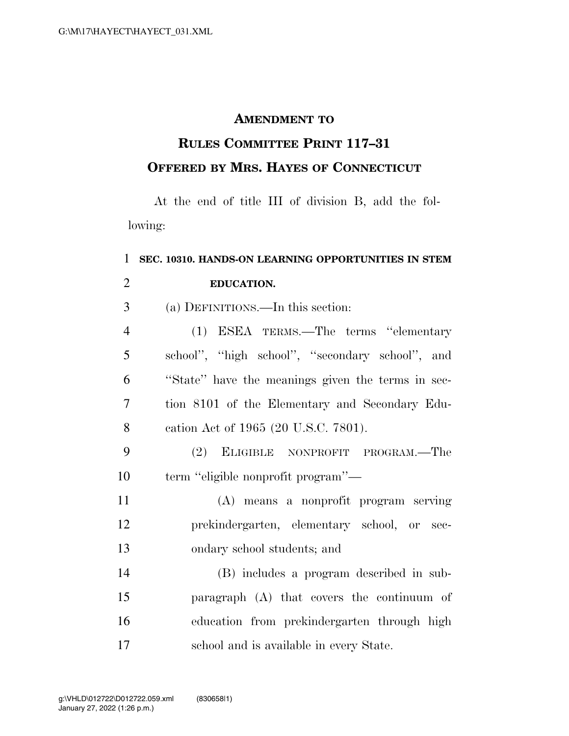## **AMENDMENT TO**

## **RULES COMMITTEE PRINT 117–31 OFFERED BY MRS. HAYES OF CONNECTICUT**

At the end of title III of division B, add the following:

## **SEC. 10310. HANDS-ON LEARNING OPPORTUNITIES IN STEM EDUCATION.**  (a) DEFINITIONS.—In this section:

| $\overline{4}$  | (1) ESEA TERMS.—The terms "elementary             |
|-----------------|---------------------------------------------------|
| $\overline{5}$  | school", "high school", "secondary school", and   |
| 6               | "State" have the meanings given the terms in sec- |
| $7\phantom{.0}$ | tion 8101 of the Elementary and Secondary Edu-    |
| 8               | cation Act of 1965 (20 U.S.C. 7801).              |

- (2) ELIGIBLE NONPROFIT PROGRAM.—The term ''eligible nonprofit program''—
- (A) means a nonprofit program serving prekindergarten, elementary school, or sec-ondary school students; and
- (B) includes a program described in sub- paragraph (A) that covers the continuum of education from prekindergarten through high school and is available in every State.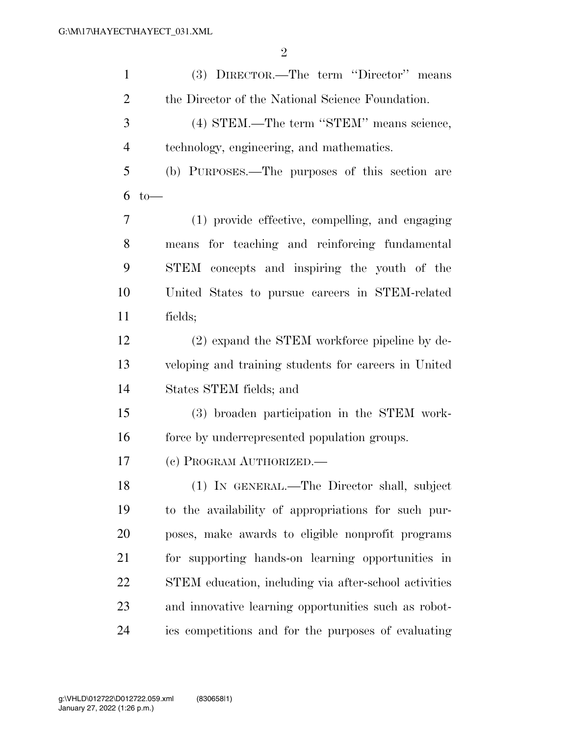| $\mathbf{1}$   | (3) DIRECTOR.—The term "Director" means               |
|----------------|-------------------------------------------------------|
| $\overline{2}$ | the Director of the National Science Foundation.      |
| 3              | (4) STEM.—The term "STEM" means science,              |
| $\overline{4}$ | technology, engineering, and mathematics.             |
| 5              | (b) PURPOSES.—The purposes of this section are        |
| 6              | $to-$                                                 |
| 7              | (1) provide effective, compelling, and engaging       |
| 8              | means for teaching and reinforcing fundamental        |
| 9              | STEM concepts and inspiring the youth of the          |
| 10             | United States to pursue careers in STEM-related       |
| 11             | fields;                                               |
| 12             | (2) expand the STEM workforce pipeline by de-         |
| 13             | veloping and training students for careers in United  |
| 14             | States STEM fields; and                               |
| 15             | (3) broaden participation in the STEM work-           |
| 16             | force by underrepresented population groups.          |
| 17             | (c) PROGRAM AUTHORIZED.                               |
| 18             | (1) IN GENERAL.—The Director shall, subject           |
| 19             | to the availability of appropriations for such pur-   |
| 20             | poses, make awards to eligible nonprofit programs     |
| 21             | for supporting hands-on learning opportunities in     |
| 22             | STEM education, including via after-school activities |
| 23             | and innovative learning opportunities such as robot-  |
| 24             | ics competitions and for the purposes of evaluating   |